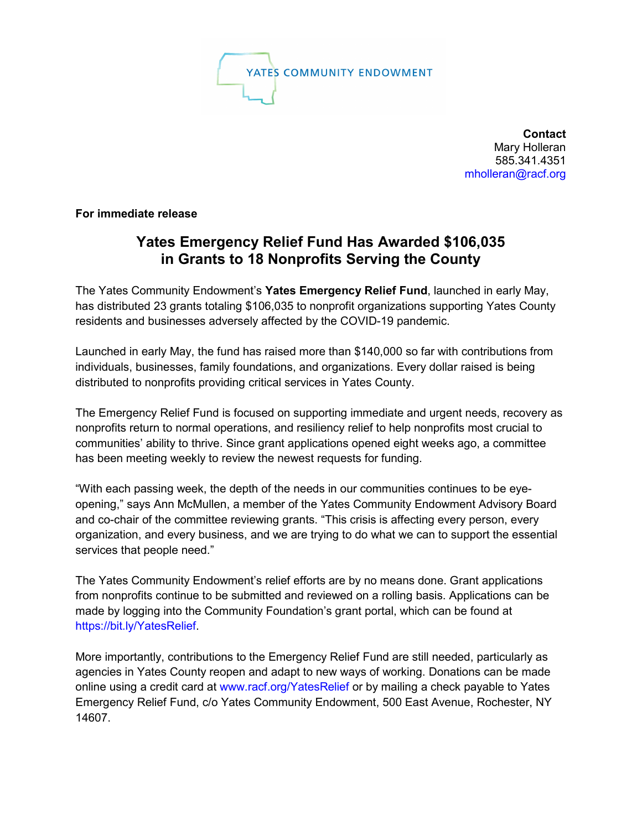

**Contact** Mary Holleran 585.341.4351 [mholleran@racf.org](mailto:mholleran@racf.org)

**For immediate release**

## **Yates Emergency Relief Fund Has Awarded \$106,035 in Grants to 18 Nonprofits Serving the County**

The Yates Community Endowment's **Yates Emergency Relief Fund**, launched in early May, has distributed 23 grants totaling \$106,035 to nonprofit organizations supporting Yates County residents and businesses adversely affected by the COVID-19 pandemic.

Launched in early May, the fund has raised more than \$140,000 so far with contributions from individuals, businesses, family foundations, and organizations. Every dollar raised is being distributed to nonprofits providing critical services in Yates County.

The Emergency Relief Fund is focused on supporting immediate and urgent needs, recovery as nonprofits return to normal operations, and resiliency relief to help nonprofits most crucial to communities' ability to thrive. Since grant applications opened eight weeks ago, a committee has been meeting weekly to review the newest requests for funding.

"With each passing week, the depth of the needs in our communities continues to be eyeopening," says Ann McMullen, a member of the Yates Community Endowment Advisory Board and co-chair of the committee reviewing grants. "This crisis is affecting every person, every organization, and every business, and we are trying to do what we can to support the essential services that people need."

The Yates Community Endowment's relief efforts are by no means done. Grant applications from nonprofits continue to be submitted and reviewed on a rolling basis. Applications can be made by logging into the Community Foundation's grant portal, which can be found at [https://bit.ly/YatesRelief.](https://bit.ly/YatesRelief)

More importantly, contributions to the Emergency Relief Fund are still needed, particularly as agencies in Yates County reopen and adapt to new ways of working. Donations can be made online using a credit card at [www.racf.org/YatesRelief](http://www.racf.org/YatesRelief) or by mailing a check payable to Yates Emergency Relief Fund, c/o Yates Community Endowment, 500 East Avenue, Rochester, NY 14607.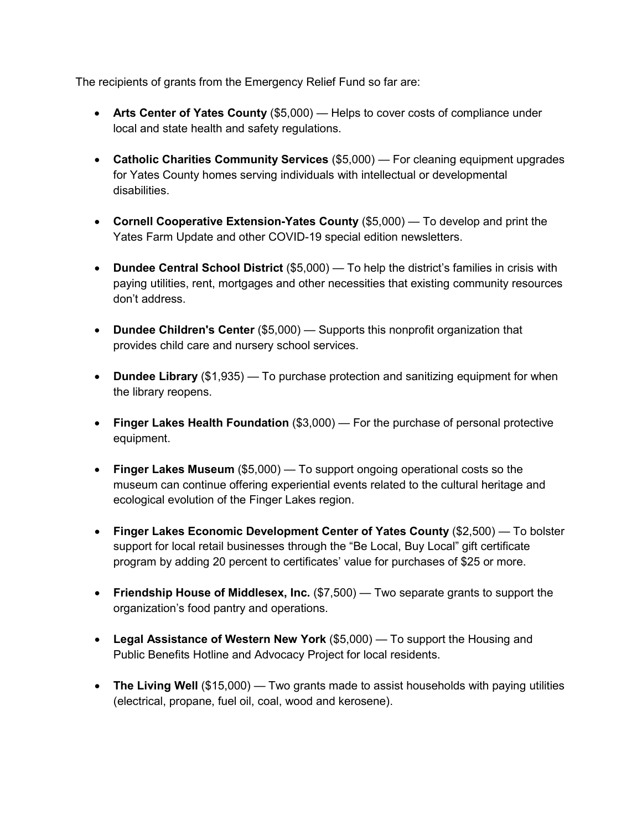The recipients of grants from the Emergency Relief Fund so far are:

- **Arts Center of Yates County** (\$5,000) Helps to cover costs of compliance under local and state health and safety regulations.
- **Catholic Charities Community Services** (\$5,000) For cleaning equipment upgrades for Yates County homes serving individuals with intellectual or developmental disabilities.
- **Cornell Cooperative Extension-Yates County** (\$5,000) To develop and print the Yates Farm Update and other COVID-19 special edition newsletters.
- **Dundee Central School District** (\$5,000) To help the district's families in crisis with paying utilities, rent, mortgages and other necessities that existing community resources don't address.
- **Dundee Children's Center** (\$5,000) Supports this nonprofit organization that provides child care and nursery school services.
- **Dundee Library** (\$1,935) To purchase protection and sanitizing equipment for when the library reopens.
- **Finger Lakes Health Foundation** (\$3,000) For the purchase of personal protective equipment.
- **Finger Lakes Museum** (\$5,000) To support ongoing operational costs so the museum can continue offering experiential events related to the cultural heritage and ecological evolution of the Finger Lakes region.
- **Finger Lakes Economic Development Center of Yates County** (\$2,500) To bolster support for local retail businesses through the "Be Local, Buy Local" gift certificate program by adding 20 percent to certificates' value for purchases of \$25 or more.
- Friendship House of Middlesex, Inc. (\$7,500) Two separate grants to support the organization's food pantry and operations.
- **Legal Assistance of Western New York** (\$5,000) To support the Housing and Public Benefits Hotline and Advocacy Project for local residents.
- **The Living Well** (\$15,000) Two grants made to assist households with paying utilities (electrical, propane, fuel oil, coal, wood and kerosene).